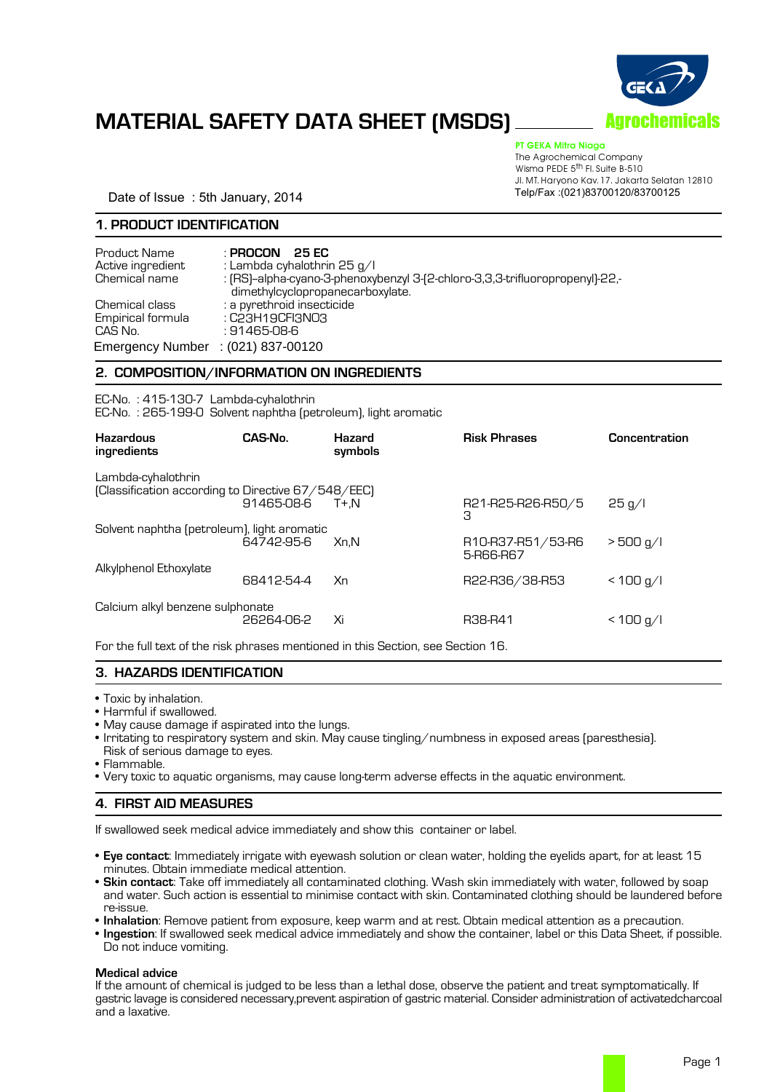

# **MATERIAL SAFETY DATA SHEET (MSDS)**

PT GEKA Mitra Niaga

The Agrochemical Company Wisma PEDE 5<sup>th</sup> Fl. Suite B-510 Jl. MT. Haryono Kav. 17. Jakarta Selatan 12810

Date of Issue: 5th January, 2014

## **1. PRODUCT IDENTIFICATION**

| Product Name<br>Active ingredient<br>Chemical name                        | : PROCON<br>25 FC<br>: Lambda cyhalothrin 25 g/l<br>: [RS]-alpha-cyano-3-phenoxybenzyl 3-[2-chloro-3,3,3-trifluoropropenyl]-22,-<br>dimethylcyclopropanecarboxylate. |  |
|---------------------------------------------------------------------------|----------------------------------------------------------------------------------------------------------------------------------------------------------------------|--|
| Chemical class<br>Empirical formula<br>CAS No.<br><b>Emergency Number</b> | : a pyrethroid insecticide<br>: C23H19CFI3NO3<br>: 91465-08-6<br>$: (021)$ 837-00120                                                                                 |  |

## **2. COMPOSITION/INFORMATION ON INGREDIENTS**

EC-No. : 415-130-7 Lambda-cyhalothrin EC-No. : 265-199-0 Solvent naphtha (petroleum), light aromatic

| <b>Hazardous</b><br>ingredients                                          | CAS-No.    | <b>Hazard</b><br>symbols | <b>Risk Phrases</b>            | Concentration |
|--------------------------------------------------------------------------|------------|--------------------------|--------------------------------|---------------|
| Lambda-cyhalothrin<br>(Classification according to Directive 67/548/EEC) | 91465-08-6 | T+.N                     | R21-R25-R26-R50/5<br>З         | 25 g/l        |
| Solvent naphtha (petroleum), light aromatic                              | 64742-95-6 | Xn.N                     | R10-R37-R51/53-R6<br>5-R66-R67 | $>$ 500 g/l   |
| Alkylphenol Ethoxylate                                                   | 68412-54-4 | Xn                       | R22-R36/38-R53                 | < 100 q/l     |
| Calcium alkyl benzene sulphonate                                         | 26264-06-2 | Xi                       | R38-R41                        | < 100 q/l     |

For the full text of the risk phrases mentioned in this Section, see Section 16.

# **3. HAZARDS IDENTIFICATION**

• Toxic by inhalation.

• Harmful if swallowed.

- May cause damage if aspirated into the lungs.
- Irritating to respiratory system and skin. May cause tingling/numbness in exposed areas (paresthesia).
- Risk of serious damage to eyes.
- Flammable.
- Very toxic to aquatic organisms, may cause long-term adverse effects in the aquatic environment.

# **4. FIRST AID MEASURES**

If swallowed seek medical advice immediately and show this container or label.

- **Eye contact**: Immediately irrigate with eyewash solution or clean water, holding the eyelids apart, for at least 15 minutes. Obtain immediate medical attention.
- **Skin contact**: Take off immediately all contaminated clothing. Wash skin immediately with water, followed by soap and water. Such action is essential to minimise contact with skin. Contaminated clothing should be laundered before re-issue.
- **Inhalation**: Remove patient from exposure, keep warm and at rest. Obtain medical attention as a precaution.
- **Ingestion**: If swallowed seek medical advice immediately and show the container, label or this Data Sheet, if possible. Do not induce vomiting.

# **Medical advice**

If the amount of chemical is judged to be less than a lethal dose, observe the patient and treat symptomatically. If gastric lavage is considered necessary,prevent aspiration of gastric material. Consider administration of activatedcharcoal and a laxative.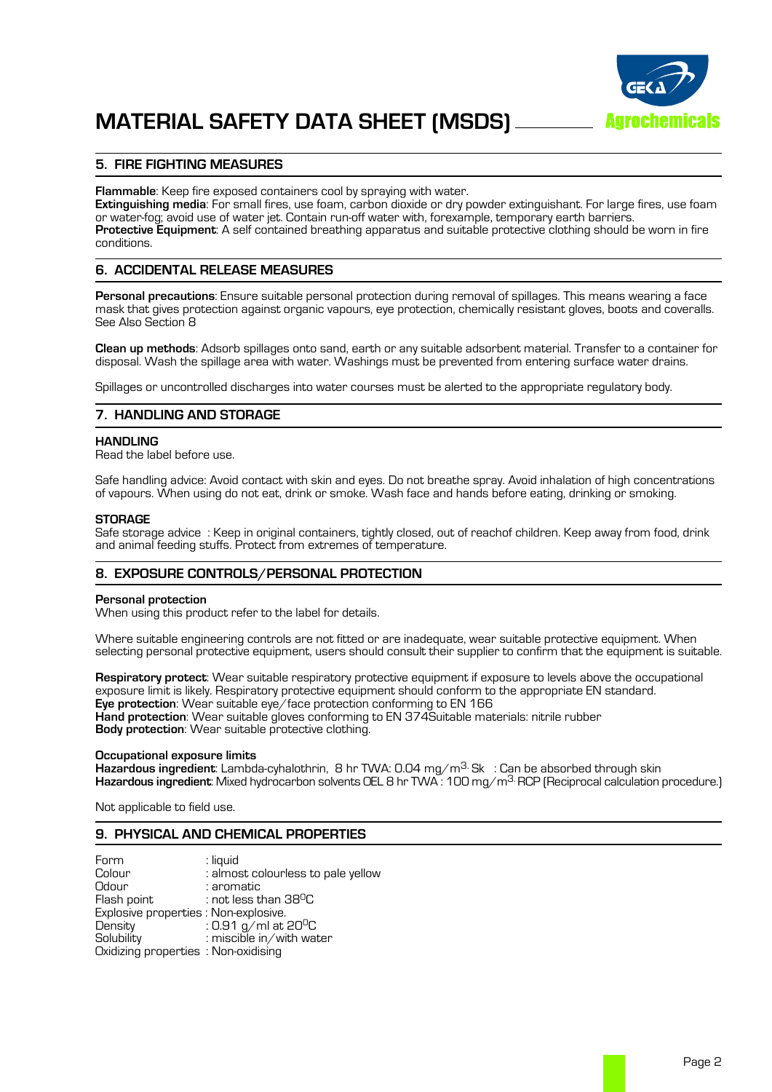

# **5. FIRE FIGHTING MEASURES**

**Flammable**: Keep fire exposed containers cool by spraying with water.

**Extinguishing media**: For small fires, use foam, carbon dioxide or dry powder extinguishant. For large fires, use foam Protective Equipment: A self contained breathing apparatus and suitable protective clothing should be worn in fire conditions.

# **6. ACCIDENTAL RELEASE MEASURES**

**Personal precautions**: Ensure suitable personal protection during removal of spillages. This means wearing a face mask that gives protection against organic vapours, eye protection, chemically resistant gloves, boots and coveralls. See Also Section 8

**Clean up methods**: Adsorb spillages onto sand, earth or any suitable adsorbent material. Transfer to a container for disposal. Wash the spillage area with water. Washings must be prevented from entering surface water drains.

Spillages or uncontrolled discharges into water courses must be alerted to the appropriate regulatory body.

# **7. HANDLING AND STORAGE**

#### **HANDLING**

Read the label before use.

Safe handling advice: Avoid contact with skin and eyes. Do not breathe spray. Avoid inhalation of high concentrations of vapours. When using do not eat, drink or smoke. Wash face and hands before eating, drinking or smoking.

#### **STORAGE**

Safe storage advice : Keep in original containers, tightly closed, out of reachof children. Keep away from food, drink and animal feeding stuffs. Protect from extremes of temperature.

## **8. EXPOSURE CONTROLS/PERSONAL PROTECTION**

#### **Personal protection**

When using this product refer to the label for details.

Where suitable engineering controls are not fitted or are inadequate, wear suitable protective equipment. When selecting personal protective equipment, users should consult their supplier to confirm that the equipment is suitable.

**Respiratory protect**: Wear suitable respiratory protective equipment if exposure to levels above the occupational exposure limit is likely. Respiratory protective equipment should conform to the appropriate EN standard. **Eye protection**: Wear suitable eye/face protection conforming to EN 166 **Hand protection**: Wear suitable gloves conforming to EN 374Suitable materials: nitrile rubber **Body protection**: Wear suitable protective clothing.

#### **Occupational exposure limits**

**Hazardous ingredient**: Lambda-cyhalothrin, 8 hr TWA: 0.04 mg/m3. Sk : Can be absorbed through skin **Hazardous ingredient**: Mixed hydrocarbon solvents OEL 8 hr TWA : 100 mg/m3.RCP (Reciprocal calculation procedure.)

Not applicable to field use.

## **9. PHYSICAL AND CHEMICAL PROPERTIES**

| Form                                  | : liquid                           |
|---------------------------------------|------------------------------------|
| Colour                                | : almost colourless to pale yellow |
| Odour                                 | : aromatic                         |
| Flash point                           | : not less than 38 <sup>0</sup> C  |
| Explosive properties : Non-explosive. |                                    |
| Density                               | : 0.91 g/ml at 20 <sup>0</sup> C   |
| Solubility                            | : miscible in/with water           |
| Oxidizing properties : Non-oxidising  |                                    |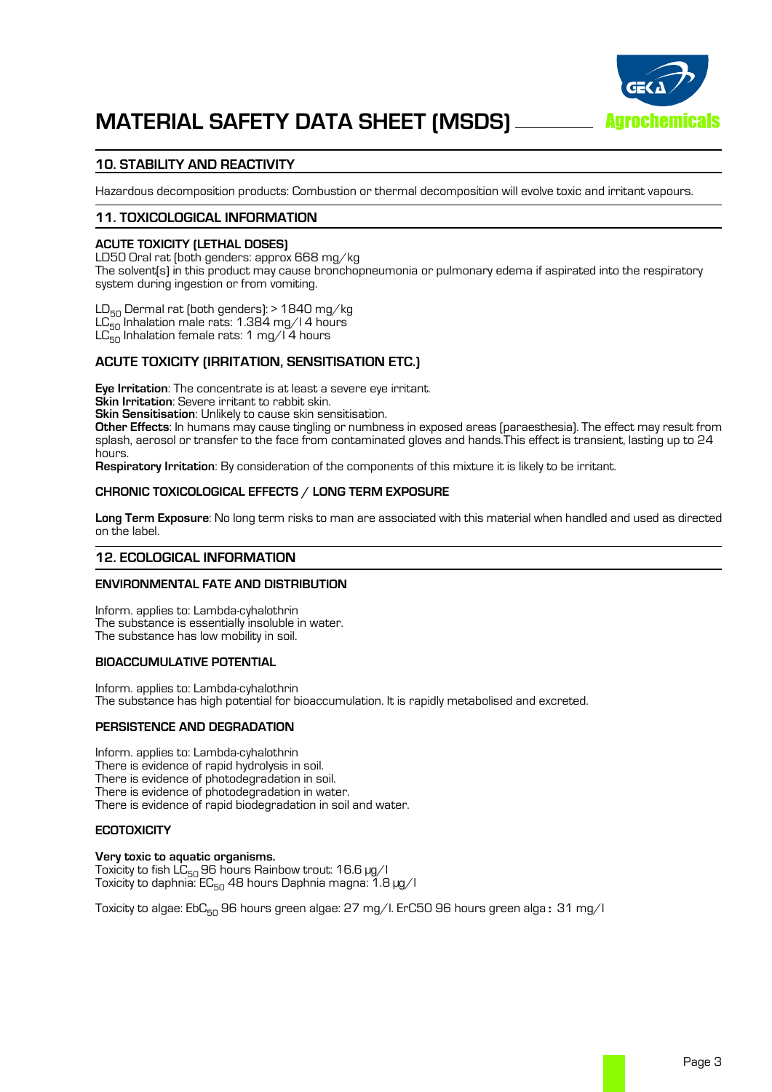

# **10. STABILITY AND REACTIVITY**

Hazardous decomposition products: Combustion or thermal decomposition will evolve toxic and irritant vapours.

## **11. TOXICOLOGICAL INFORMATION**

#### **ACUTE TOXICITY (LETHAL DOSES)**

LD50 Oral rat (both genders: approx 668 mg/kg The solvent(s) in this product may cause bronchopneumonia or pulmonary edema if aspirated into the respiratory system during ingestion or from vomiting.

 $LD_{50}$  Dermal rat (both genders): > 1840 mg/kg  $LC_{50}$  Inhalation male rats: 1.384 mg/l 4 hours  $LC_{50}^{20}$  Inhalation female rats: 1 mg/l 4 hours

## **ACUTE TOXICITY (IRRITATION, SENSITISATION ETC.)**

**Eye Irritation**: The concentrate is at least a severe eye irritant. **Skin Irritation**: Severe irritant to rabbit skin.

**Skin Sensitisation**: Unlikely to cause skin sensitisation.

**Other Effects**: In humans may cause tingling or numbness in exposed areas (paraesthesia). The effect may result from splash, aerosol or transfer to the face from contaminated gloves and hands.This effect is transient, lasting up to 24 hours.

**Respiratory Irritation**: By consideration of the components of this mixture it is likely to be irritant.

#### **CHRONIC TOXICOLOGICAL EFFECTS / LONG TERM EXPOSURE**

**Long Term Exposure**: No long term risks to man are associated with this material when handled and used as directed on the label.

#### **12. ECOLOGICAL INFORMATION**

#### **ENVIRONMENTAL FATE AND DISTRIBUTION**

Inform. applies to: Lambda-cyhalothrin The substance is essentially insoluble in water. The substance has low mobility in soil.

#### **BIOACCUMULATIVE POTENTIAL**

Inform. applies to: Lambda-cyhalothrin The substance has high potential for bioaccumulation. It is rapidly metabolised and excreted.

## **PERSISTENCE AND DEGRADATION**

Inform. applies to: Lambda-cyhalothrin There is evidence of photodegradation in soil. There is evidence of photodegradation in water. There is evidence of rapid biodegradation in soil and water.

## **ECOTOXICITY**

#### **Very toxic to aquatic organisms.**

Toxicity to fish  $LC_{50}$  96 hours Rainbow trout: 16.6  $\mu$ g/l Toxicity to daphnia:  $EC_{50}$  48 hours Daphnia magna: 1.8  $\mu$ g/l

Toxicity to algae:  $Ebc_{50}$  96 hours green algae: 27 mg/l. ErC50 96 hours green alga: 31 mg/l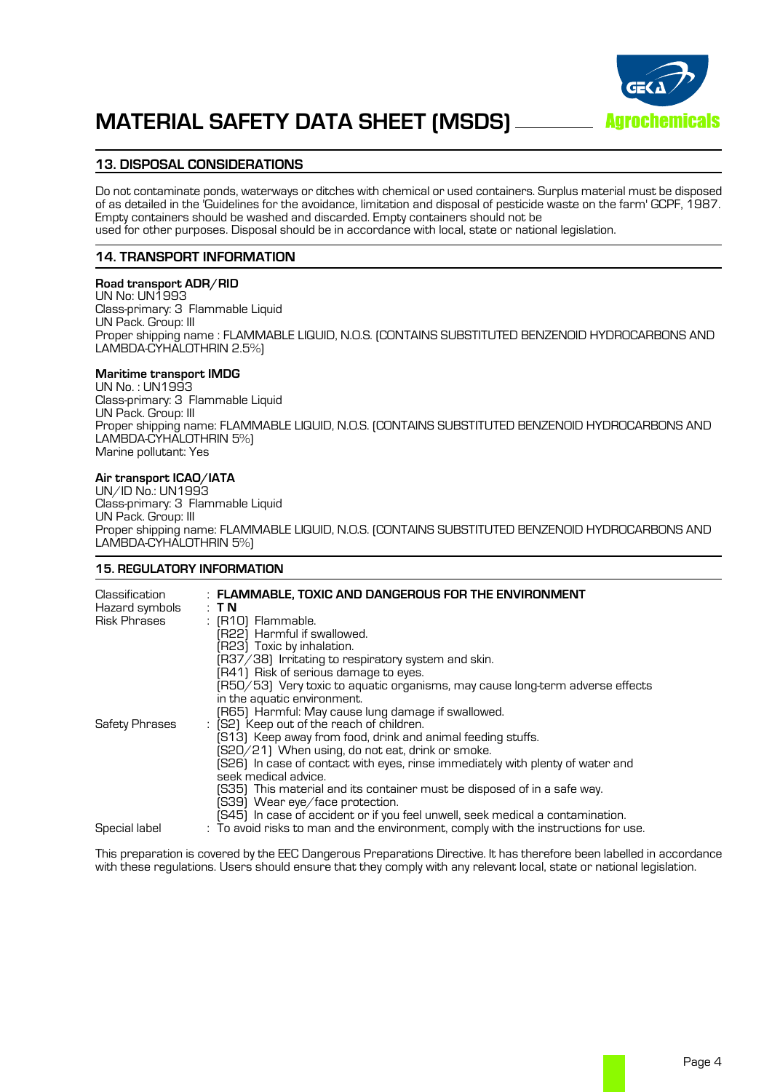

# **MATERIAL SAFETY DATA SHEET (MSDS)**

# **13. DISPOSAL CONSIDERATIONS**

Do not contaminate ponds, waterways or ditches with chemical or used containers. Surplus material must be disposed of as detailed in the 'Guidelines for the avoidance, limitation and disposal of pesticide waste on the farm' GCPF, 1987. Empty containers should be washed and discarded. Empty containers should not be used for other purposes. Disposal should be in accordance with local, state or national legislation.

## **14. TRANSPORT INFORMATION**

#### **Road transport ADR/RID**

UN No: UN1993 Class-primary: 3 Flammable Liquid UN Pack. Group: III Proper shipping name : FLAMMABLE LIQUID, N.O.S. (CONTAINS SUBSTITUTED BENZENOID HYDROCARBONS AND LAMBDA-CYHALOTHRIN 2.5%)

## **Maritime transport IMDG**

UN No. : UN1993 Class-primary: 3 Flammable Liquid UN Pack. Group: III Proper shipping name: FLAMMABLE LIQUID, N.O.S. (CONTAINS SUBSTITUTED BENZENOID HYDROCARBONS AND LAMBDA-CYHALOTHRIN 5%) Marine pollutant: Yes

## **Air transport ICAO/IATA**

UN/ID No.: UN1993 Class-primary: 3 Flammable Liquid UN Pack. Group: III Proper shipping name: FLAMMABLE LIQUID, N.O.S. (CONTAINS SUBSTITUTED BENZENOID HYDROCARBONS AND LAMBDA-CYHALOTHRIN 5%)

## **15. REGULATORY INFORMATION**

| Classification<br>Hazard symbols<br>Risk Phrases | : FLAMMABLE, TOXIC AND DANGEROUS FOR THE ENVIRONMENT<br>: TN<br>$\pm$ (R10) Flammable.<br>(R22) Harmful if swallowed.<br>(R23) Toxic by inhalation.<br>(R37/38) Irritating to respiratory system and skin.<br>[R41] Risk of serious damage to eyes.<br>(R50/53) Very toxic to aquatic organisms, may cause long-term adverse effects                        |
|--------------------------------------------------|-------------------------------------------------------------------------------------------------------------------------------------------------------------------------------------------------------------------------------------------------------------------------------------------------------------------------------------------------------------|
| <b>Safety Phrases</b>                            | in the aquatic environment.<br>[R65] Harmful: May cause lung damage if swallowed.<br>: [S2] Keep out of the reach of children.<br>[S13] Keep away from food, drink and animal feeding stuffs.<br>(S20/21) When using, do not eat, drink or smoke.<br>[S26] In case of contact with eyes, rinse immediately with plenty of water and<br>seek medical advice. |
| Special label                                    | (S35) This material and its container must be disposed of in a safe way.<br>[S39] Wear eye/face protection.<br>(S45) In case of accident or if you feel unwell, seek medical a contamination.<br>: To avoid risks to man and the environment, comply with the instructions for use.                                                                         |

This preparation is covered by the EEC Dangerous Preparations Directive. It has therefore been labelled in accordance with these regulations. Users should ensure that they comply with any relevant local, state or national legislation.